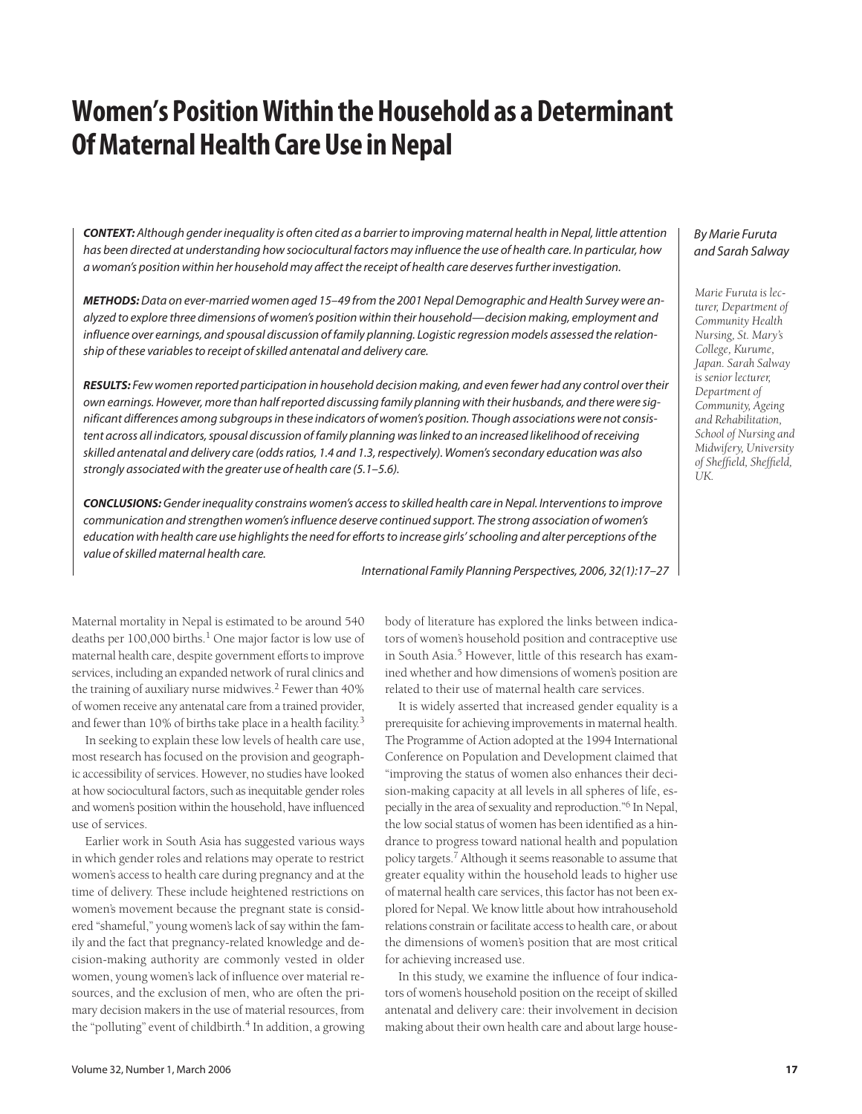# **Women's Position Within the Household as a Determinant Of Maternal Health Care Use in Nepal**

**CONTEXT:** Although gender inequality is often cited as a barrier to improving maternal health in Nepal, little attention has been directed at understanding how sociocultural factors may influence the use of health care. In particular, how a woman's position within her household may affect the receipt of health care deserves further investigation.

**METHODS:**Data on ever-married women aged 15–49 from the 2001 Nepal Demographic and Health Survey were analyzed to explore three dimensions of women's position within their household—decision making, employment and influence over earnings, and spousal discussion of family planning. Logistic regression models assessed the relationship of these variables to receipt of skilled antenatal and delivery care.

**RESULTS:** Few women reported participation in household decision making, and even fewer had any control over their own earnings. However, more than half reported discussing family planning with their husbands, and there were significant differences among subgroups in these indicators of women's position. Though associations were not consistent across all indicators, spousal discussion of family planning was linked to an increased likelihood of receiving skilled antenatal and delivery care (odds ratios, 1.4 and 1.3, respectively). Women's secondary education was also strongly associated with the greater use of health care (5.1–5.6).

**CONCLUSIONS:**Gender inequality constrains women's access to skilled health care in Nepal. Interventions to improve communication and strengthen women's influence deserve continued support. The strong association of women's education with health care use highlights the need for efforts to increase girls' schooling and alter perceptions of the value of skilled maternal health care.

International Family Planning Perspectives, 2006, 32(1):17–27

Maternal mortality in Nepal is estimated to be around 540 deaths per  $100,000$  births.<sup>1</sup> One major factor is low use of maternal health care, despite government efforts to improve services, including an expanded network of rural clinics and the training of auxiliary nurse midwives.<sup>2</sup> Fewer than 40% of women receive any antenatal care from a trained provider, and fewer than 10% of births take place in a health facility.3

In seeking to explain these low levels of health care use, most research has focused on the provision and geographic accessibility of services. However, no studies have looked at how sociocultural factors, such as inequitable gender roles and women's position within the household, have influenced use of services.

Earlier work in South Asia has suggested various ways in which gender roles and relations may operate to restrict women's access to health care during pregnancy and at the time of delivery. These include heightened restrictions on women's movement because the pregnant state is considered "shameful," young women's lack of say within the family and the fact that pregnancy-related knowledge and decision-making authority are commonly vested in older women, young women's lack of influence over material resources, and the exclusion of men, who are often the primary decision makers in the use of material resources, from the "polluting" event of childbirth.<sup>4</sup> In addition, a growing body of literature has explored the links between indicators of women's household position and contraceptive use in South Asia.<sup>5</sup> However, little of this research has examined whether and how dimensions of women's position are related to their use of maternal health care services.

It is widely asserted that increased gender equality is a prerequisite for achieving improvements in maternal health. The Programme of Action adopted at the 1994 International Conference on Population and Development claimed that "improving the status of women also enhances their decision-making capacity at all levels in all spheres of life, especially in the area of sexuality and reproduction."6 In Nepal, the low social status of women has been identified as a hindrance to progress toward national health and population policy targets.7 Although it seems reasonable to assume that greater equality within the household leads to higher use of maternal health care services, this factor has not been explored for Nepal. We know little about how intrahousehold relations constrain or facilitate access to health care, or about the dimensions of women's position that are most critical for achieving increased use.

In this study, we examine the influence of four indicators of women's household position on the receipt of skilled antenatal and delivery care: their involvement in decision making about their own health care and about large house-

# By Marie Furuta and Sarah Salway

*Marie Furuta is lecturer, Department of Community Health Nursing, St. Mary's College, Kurume, Japan. Sarah Salway is senior lecturer, Department of Community, Ageing and Rehabilitation, School of Nursing and Midwifery, University of Sheffield, Sheffield, UK.*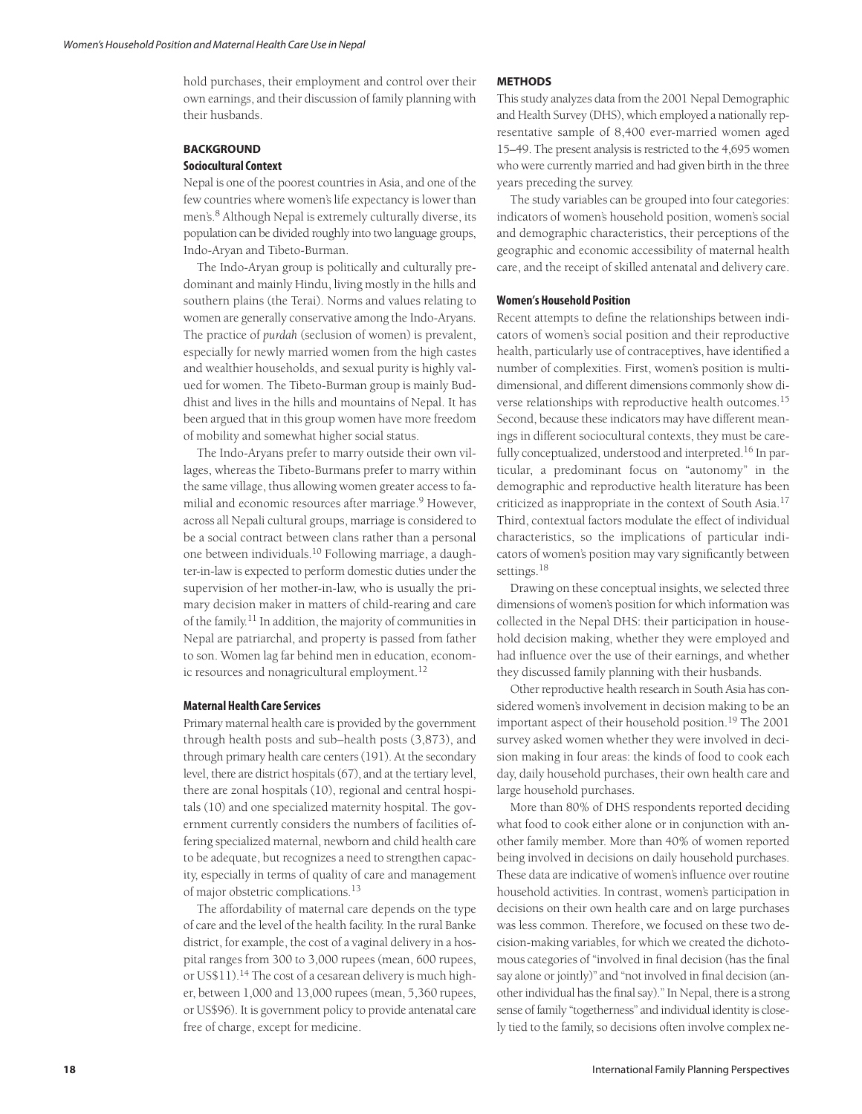hold purchases, their employment and control over their own earnings, and their discussion of family planning with their husbands.

# **BACKGROUND Sociocultural Context**

Nepal is one of the poorest countries in Asia, and one of the few countries where women's life expectancy is lower than men's.<sup>8</sup> Although Nepal is extremely culturally diverse, its population can be divided roughly into two language groups, Indo-Aryan and Tibeto-Burman.

The Indo-Aryan group is politically and culturally predominant and mainly Hindu, living mostly in the hills and southern plains (the Terai). Norms and values relating to women are generally conservative among the Indo-Aryans. The practice of *purdah* (seclusion of women) is prevalent, especially for newly married women from the high castes and wealthier households, and sexual purity is highly valued for women. The Tibeto-Burman group is mainly Buddhist and lives in the hills and mountains of Nepal. It has been argued that in this group women have more freedom of mobility and somewhat higher social status.

The Indo-Aryans prefer to marry outside their own villages, whereas the Tibeto-Burmans prefer to marry within the same village, thus allowing women greater access to familial and economic resources after marriage.<sup>9</sup> However, across all Nepali cultural groups, marriage is considered to be a social contract between clans rather than a personal one between individuals.<sup>10</sup> Following marriage, a daughter-in-law is expected to perform domestic duties under the supervision of her mother-in-law, who is usually the primary decision maker in matters of child-rearing and care of the family.11 In addition, the majority of communities in Nepal are patriarchal, and property is passed from father to son. Women lag far behind men in education, economic resources and nonagricultural employment.<sup>12</sup>

# **Maternal Health Care Services**

Primary maternal health care is provided by the government through health posts and sub–health posts (3,873), and through primary health care centers (191). At the secondary level, there are district hospitals (67), and at the tertiary level, there are zonal hospitals (10), regional and central hospitals (10) and one specialized maternity hospital. The government currently considers the numbers of facilities offering specialized maternal, newborn and child health care to be adequate, but recognizes a need to strengthen capacity, especially in terms of quality of care and management of major obstetric complications.<sup>13</sup>

The affordability of maternal care depends on the type of care and the level of the health facility. In the rural Banke district, for example, the cost of a vaginal delivery in a hospital ranges from 300 to 3,000 rupees (mean, 600 rupees, or US\$11).<sup>14</sup> The cost of a cesarean delivery is much higher, between 1,000 and 13,000 rupees (mean, 5,360 rupees, or US\$96). It is government policy to provide antenatal care free of charge, except for medicine.

### **METHODS**

This study analyzes data from the 2001 Nepal Demographic and Health Survey (DHS), which employed a nationally representative sample of 8,400 ever-married women aged 15–49. The present analysis is restricted to the 4,695 women who were currently married and had given birth in the three years preceding the survey.

The study variables can be grouped into four categories: indicators of women's household position, women's social and demographic characteristics, their perceptions of the geographic and economic accessibility of maternal health care, and the receipt of skilled antenatal and delivery care.

### **Women's Household Position**

Recent attempts to define the relationships between indicators of women's social position and their reproductive health, particularly use of contraceptives, have identified a number of complexities. First, women's position is multidimensional, and different dimensions commonly show diverse relationships with reproductive health outcomes.<sup>15</sup> Second, because these indicators may have different meanings in different sociocultural contexts, they must be carefully conceptualized, understood and interpreted.<sup>16</sup> In particular, a predominant focus on "autonomy" in the demographic and reproductive health literature has been criticized as inappropriate in the context of South Asia.<sup>17</sup> Third, contextual factors modulate the effect of individual characteristics, so the implications of particular indicators of women's position may vary significantly between settings.<sup>18</sup>

Drawing on these conceptual insights, we selected three dimensions of women's position for which information was collected in the Nepal DHS: their participation in household decision making, whether they were employed and had influence over the use of their earnings, and whether they discussed family planning with their husbands.

Other reproductive health research in South Asia has considered women's involvement in decision making to be an important aspect of their household position.19 The 2001 survey asked women whether they were involved in decision making in four areas: the kinds of food to cook each day, daily household purchases, their own health care and large household purchases.

More than 80% of DHS respondents reported deciding what food to cook either alone or in conjunction with another family member. More than 40% of women reported being involved in decisions on daily household purchases. These data are indicative of women's influence over routine household activities. In contrast, women's participation in decisions on their own health care and on large purchases was less common. Therefore, we focused on these two decision-making variables, for which we created the dichotomous categories of "involved in final decision (has the final say alone or jointly)" and "not involved in final decision (another individual has the final say)." In Nepal, there is a strong sense of family "togetherness" and individual identity is closely tied to the family, so decisions often involve complex ne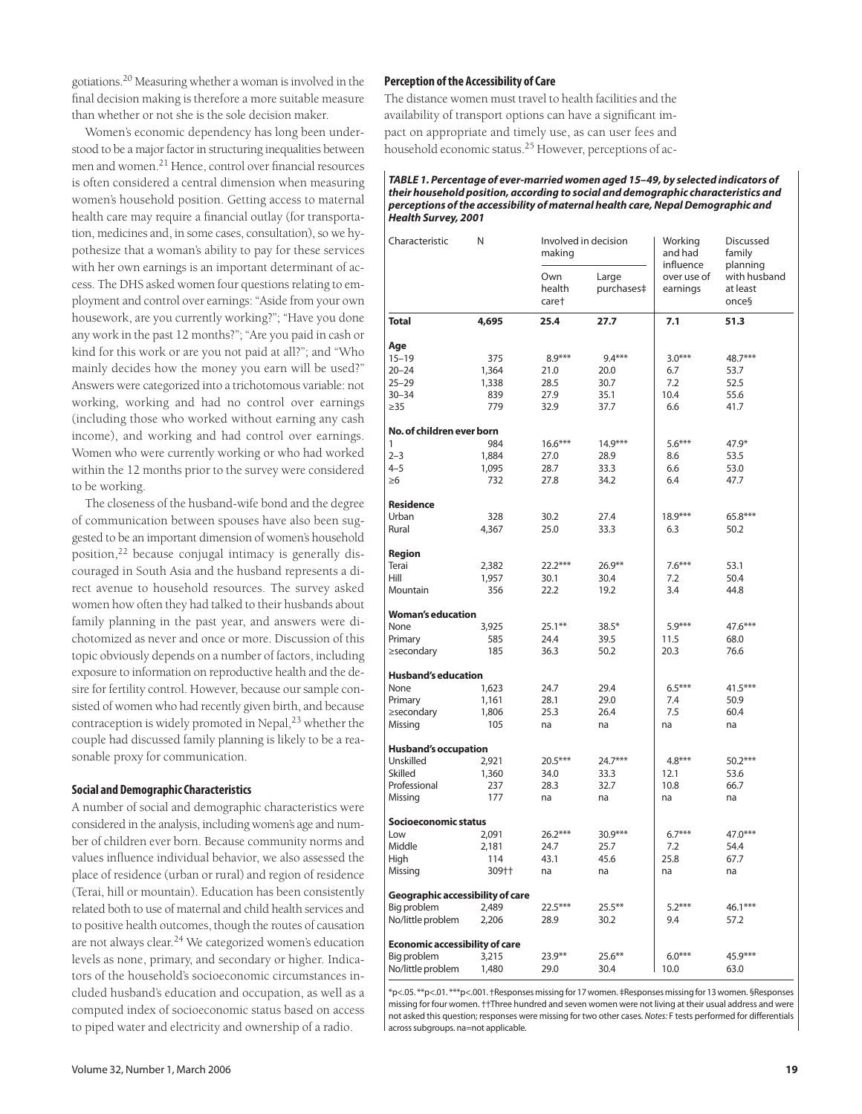gotiations.20 Measuring whether a woman is involved in the final decision making is therefore a more suitable measure than whether or not she is the sole decision maker.

Women's economic dependency has long been understood to be a major factor in structuring inequalities between men and women.21 Hence, control over financial resources is often considered a central dimension when measuring women's household position. Getting access to maternal health care may require a financial outlay (for transportation, medicines and, in some cases, consultation), so we hypothesize that a woman's ability to pay for these services with her own earnings is an important determinant of access. The DHS asked women four questions relating to employment and control over earnings: "Aside from your own housework, are you currently working?"; "Have you done any work in the past 12 months?"; "Are you paid in cash or kind for this work or are you not paid at all?"; and "Who mainly decides how the money you earn will be used?" Answers were categorized into a trichotomous variable: not working, working and had no control over earnings (including those who worked without earning any cash income), and working and had control over earnings. Women who were currently working or who had worked within the 12 months prior to the survey were considered to be working.

The closeness of the husband-wife bond and the degree of communication between spouses have also been suggested to be an important dimension of women's household position,<sup>22</sup> because conjugal intimacy is generally discouraged in South Asia and the husband represents a direct avenue to household resources. The survey asked women how often they had talked to their husbands about family planning in the past year, and answers were dichotomized as never and once or more. Discussion of this topic obviously depends on a number of factors, including exposure to information on reproductive health and the desire for fertility control. However, because our sample consisted of women who had recently given birth, and because contraception is widely promoted in Nepal, $2<sup>3</sup>$  whether the couple had discussed family planning is likely to be a reasonable proxy for communication.

# **Social and Demographic Characteristics**

A number of social and demographic characteristics were considered in the analysis, including women's age and number of children ever born. Because community norms and values influence individual behavior, we also assessed the place of residence (urban or rural) and region of residence (Terai, hill or mountain). Education has been consistently related both to use of maternal and child health services and to positive health outcomes, though the routes of causation are not always clear.<sup>24</sup> We categorized women's education levels as none, primary, and secondary or higher. Indicators of the household's socioeconomic circumstances included husband's education and occupation, as well as a computed index of socioeconomic status based on access to piped water and electricity and ownership of a radio.

# **Perception of the Accessibility of Care**

The distance women must travel to health facilities and the availability of transport options can have a significant impact on appropriate and timely use, as can user fees and household economic status.<sup>25</sup> However, perceptions of ac-

### **TABLE 1. Percentage of ever-married women aged 15–49, by selected indicators of their household position, according to social and demographic characteristics and perceptions of the accessibility of maternal health care, Nepal Demographic and Health Survey, 2001**

| Characteristic                        | N     | Involved in decision<br>making     |                     | Working<br><b>Discussed</b><br>and had<br>family<br>influence<br>planning |                                   |
|---------------------------------------|-------|------------------------------------|---------------------|---------------------------------------------------------------------------|-----------------------------------|
|                                       |       | Own<br>health<br>care <sup>+</sup> | Large<br>purchases‡ | over use of<br>earnings                                                   | with husband<br>at least<br>once§ |
| <b>Total</b>                          | 4,695 | 25.4                               | 27.7                | 7.1                                                                       | 51.3                              |
| Age                                   |       |                                    |                     |                                                                           |                                   |
| $15 - 19$                             | 375   | $8.9***$                           | $9.4***$            | $3.0***$                                                                  | 48.7***                           |
| $20 - 24$                             | 1,364 | 21.0                               | 20.0                | 6.7                                                                       | 53.7                              |
| $25 - 29$                             | 1,338 | 28.5                               | 30.7                | 7.2                                                                       | 52.5                              |
| $30 - 34$                             | 839   | 27.9                               | 35.1                | 10.4                                                                      | 55.6                              |
| $\geq$ 35                             | 779   | 32.9                               | 37.7                | 6.6                                                                       | 41.7                              |
| No. of children ever born             |       |                                    |                     |                                                                           |                                   |
| 1                                     | 984   | $16.6***$                          | $14.9***$           | $5.6***$                                                                  | $47.9*$                           |
| $2 - 3$                               | 1,884 | 27.0                               | 28.9                | 8.6                                                                       | 53.5                              |
| $4 - 5$                               | 1,095 | 28.7                               | 33.3                | 6.6                                                                       | 53.0                              |
| $\geq 6$                              | 732   | 27.8                               | 34.2                | 6.4                                                                       | 47.7                              |
| <b>Residence</b>                      |       |                                    |                     |                                                                           |                                   |
| Urban                                 | 328   | 30.2                               | 27.4                | $18.9***$                                                                 | $65.8***$                         |
| Rural                                 | 4,367 | 25.0                               | 33.3                | 6.3                                                                       | 50.2                              |
|                                       |       |                                    |                     |                                                                           |                                   |
| Region                                |       |                                    |                     |                                                                           |                                   |
| Terai                                 | 2,382 | $22.2***$                          | $26.9**$            | $7.6***$                                                                  | 53.1                              |
| Hill                                  | 1.957 | 30.1                               | 30.4                | 7.2                                                                       | 50.4                              |
| Mountain                              | 356   | 22.2                               | 19.2                | 3.4                                                                       | 44.8                              |
| <b>Woman's education</b>              |       |                                    |                     |                                                                           |                                   |
| None                                  | 3,925 | $25.1***$                          | $38.5*$             | $5.9***$                                                                  | 47.6***                           |
| Primary                               | 585   | 24.4                               | 39.5                | 11.5                                                                      | 68.0                              |
| ≥secondary                            | 185   | 36.3                               | 50.2                | 20.3                                                                      | 76.6                              |
|                                       |       |                                    |                     |                                                                           |                                   |
| <b>Husband's education</b>            |       |                                    |                     |                                                                           |                                   |
| None                                  | 1,623 | 24.7                               | 29.4                | $6.5***$                                                                  | $41.5***$                         |
| Primary                               | 1,161 | 28.1                               | 29.0                | 7.4                                                                       | 50.9                              |
| ≥secondary                            | 1,806 | 25.3                               | 26.4                | 7.5                                                                       | 60.4                              |
| Missing                               | 105   | na                                 | na                  | na                                                                        | na                                |
| <b>Husband's occupation</b>           |       |                                    |                     |                                                                           |                                   |
| Unskilled                             | 2,921 | $20.5***$                          | 24.7***             | $4.8***$                                                                  | $50.2***$                         |
| <b>Skilled</b>                        | 1,360 | 34.0                               | 33.3                | 12.1                                                                      | 53.6                              |
| Professional                          | 237   | 28.3                               | 32.7                | 10.8                                                                      | 66.7                              |
| Missing                               | 177   | na                                 | na                  | na                                                                        | na                                |
| Socioeconomic status                  |       |                                    |                     |                                                                           |                                   |
| Low                                   | 2,091 | $26.2***$                          | 30.9***             | $6.7***$                                                                  | 47.0***                           |
| Middle                                | 2,181 | 24.7                               | 25.7                | 7.2                                                                       | 54.4                              |
| High                                  | 114   | 43.1                               | 45.6                | 25.8                                                                      | 67.7                              |
| Missing                               | 309†† | na                                 | na                  | na                                                                        | na                                |
| Geographic accessibility of care      |       |                                    |                     |                                                                           |                                   |
| Big problem                           | 2,489 | 22.5***                            | $25.5***$           | $5.2***$                                                                  | $46.1***$                         |
| No/little problem                     | 2,206 | 28.9                               | 30.2                | 9.4                                                                       | 57.2                              |
|                                       |       |                                    |                     |                                                                           |                                   |
| <b>Economic accessibility of care</b> |       |                                    |                     |                                                                           |                                   |
| Big problem                           | 3,215 | $23.9**$                           | $25.6***$           | $6.0***$                                                                  | 45.9***                           |
| No/little problem                     | 1,480 | 29.0                               | 30.4                | 10.0                                                                      | 63.0                              |

\*p<.05. \*\*p<.01. \*\*\*p<.001. †Responses missing for 17 women. ‡Responses missing for 13 women. §Responses missing for four women. ††Three hundred and seven women were not living at their usual address and were not asked this question; responses were missing for two other cases. Notes: F tests performed for differentials across subgroups. na=not applicable.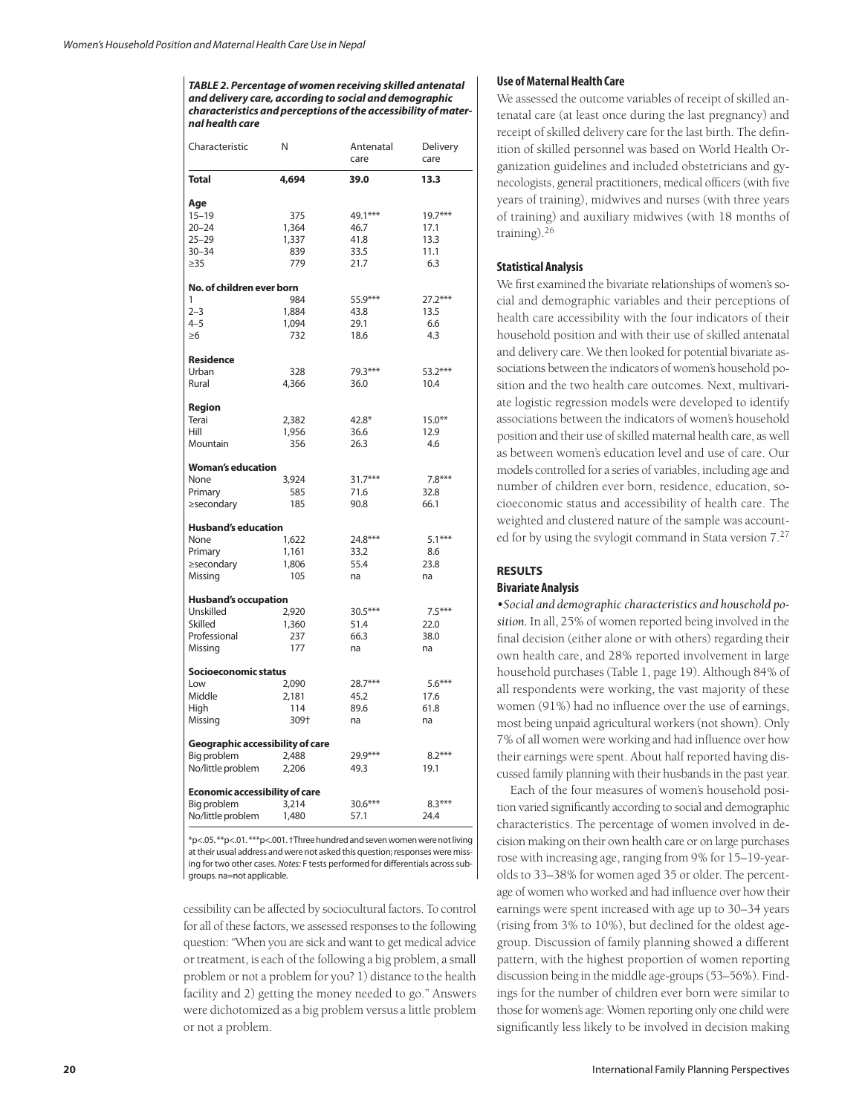**TABLE 2. Percentage of women receiving skilled antenatal and delivery care, according to social and demographic characteristics and perceptions of the accessibility of maternal health care**

| Characteristic                   | N                    | Antenatal<br>care | Delivery<br>care |  |  |  |  |
|----------------------------------|----------------------|-------------------|------------------|--|--|--|--|
| <b>Total</b>                     | 4,694                | 39.0              | 13.3             |  |  |  |  |
| Age                              |                      |                   |                  |  |  |  |  |
| $15 - 19$                        | 375                  | 49.1***           | $19.7***$        |  |  |  |  |
| $20 - 24$                        | 1,364                | 46.7              | 17.1             |  |  |  |  |
| $25 - 29$                        | 1,337                | 41.8              | 13.3             |  |  |  |  |
| $30 - 34$                        | 839                  | 33.5              | 11.1             |  |  |  |  |
| $\geq$ 35                        | 779                  | 21.7              | 6.3              |  |  |  |  |
| No. of children ever born        |                      |                   |                  |  |  |  |  |
| 1                                | 984                  | 55.9***           | $27.2***$        |  |  |  |  |
| $2 - 3$                          | 1,884                | 43.8              | 13.5             |  |  |  |  |
| $4 - 5$                          | 1,094                | 29.1              | 6.6              |  |  |  |  |
| $\geq 6$                         | 732                  | 18.6              | 4.3              |  |  |  |  |
| <b>Residence</b>                 |                      |                   |                  |  |  |  |  |
| Urban                            | 328                  | 79.3***           | 53.2***          |  |  |  |  |
| Rural                            | 4,366                | 36.0              | 10.4             |  |  |  |  |
| Region                           |                      |                   |                  |  |  |  |  |
| Terai                            | 2,382                | $42.8*$           | $15.0***$        |  |  |  |  |
| Hill                             | 1,956                | 36.6              | 12.9             |  |  |  |  |
| Mountain                         | 356                  | 26.3              | 4.6              |  |  |  |  |
| <b>Woman's education</b>         |                      |                   |                  |  |  |  |  |
| None                             | 3,924                | $31.7***$         | $7.8***$         |  |  |  |  |
| Primary                          | 585                  | 71.6              | 32.8             |  |  |  |  |
| ≥secondary                       | 185                  | 90.8              | 66.1             |  |  |  |  |
| <b>Husband's education</b>       |                      |                   |                  |  |  |  |  |
| None                             | 1,622                | 24.8***           | $5.1***$         |  |  |  |  |
| Primary                          | 1,161                | 33.2              | 8.6              |  |  |  |  |
| ≥secondary                       | 1,806                | 55.4              | 23.8             |  |  |  |  |
| Missing                          | 105                  | na                | na               |  |  |  |  |
| <b>Husband's occupation</b>      |                      |                   |                  |  |  |  |  |
| Unskilled                        | 2,920                | 30.5***           | $7.5***$         |  |  |  |  |
| Skilled                          | 1,360                | 51.4              | 22.0             |  |  |  |  |
| Professional                     | 237                  | 66.3              | 38.0             |  |  |  |  |
| Missing                          | 177                  | na                | na               |  |  |  |  |
|                                  | Socioeconomic status |                   |                  |  |  |  |  |
| Low                              | 2,090                | 28.7***           | $5.6***$         |  |  |  |  |
| Middle                           | 2,181                | 45.2              | 17.6             |  |  |  |  |
| High                             | 114                  | 89.6              | 61.8             |  |  |  |  |
| Missing                          | 309+                 | na                | na               |  |  |  |  |
| Geographic accessibility of care |                      |                   |                  |  |  |  |  |
| Big problem                      | 2,488                | 29.9***           | $8.2***$         |  |  |  |  |
| No/little problem                | 2,206                | 49.3              | 19.1             |  |  |  |  |
| Economic accessibility of care   |                      |                   |                  |  |  |  |  |
| Big problem                      | 3,214                | $30.6***$         | $8.3***$         |  |  |  |  |
| No/little problem                | 1,480                | 57.1              | 24.4             |  |  |  |  |
|                                  |                      |                   |                  |  |  |  |  |

\*p<.05. \*\*p<.01. \*\*\*p<.001. †Three hundred and seven women were not living at their usual address and were not asked this question; responses were missing for two other cases. Notes: F tests performed for differentials across subgroups. na=not applicable.

cessibility can be affected by sociocultural factors. To control for all of these factors, we assessed responses to the following question: "When you are sick and want to get medical advice or treatment, is each of the following a big problem, a small problem or not a problem for you? 1) distance to the health facility and 2) getting the money needed to go." Answers were dichotomized as a big problem versus a little problem or not a problem.

## **Use of Maternal Health Care**

We assessed the outcome variables of receipt of skilled antenatal care (at least once during the last pregnancy) and receipt of skilled delivery care for the last birth. The definition of skilled personnel was based on World Health Organization guidelines and included obstetricians and gynecologists, general practitioners, medical officers (with five years of training), midwives and nurses (with three years of training) and auxiliary midwives (with 18 months of training).<sup>26</sup>

# **Statistical Analysis**

We first examined the bivariate relationships of women's social and demographic variables and their perceptions of health care accessibility with the four indicators of their household position and with their use of skilled antenatal and delivery care. We then looked for potential bivariate associations between the indicators of women's household position and the two health care outcomes. Next, multivariate logistic regression models were developed to identify associations between the indicators of women's household position and their use of skilled maternal health care, as well as between women's education level and use of care. Our models controlled for a series of variables, including age and number of children ever born, residence, education, socioeconomic status and accessibility of health care. The weighted and clustered nature of the sample was accounted for by using the svylogit command in Stata version 7.<sup>27</sup>

## **RESULTS Bivariate Analysis**

*•Social and demographic characteristics and household position.* In all, 25% of women reported being involved in the final decision (either alone or with others) regarding their own health care, and 28% reported involvement in large household purchases (Table 1, page 19). Although 84% of all respondents were working, the vast majority of these women (91%) had no influence over the use of earnings, most being unpaid agricultural workers (not shown). Only 7% of all women were working and had influence over how their earnings were spent. About half reported having discussed family planning with their husbands in the past year.

Each of the four measures of women's household position varied significantly according to social and demographic characteristics. The percentage of women involved in decision making on their own health care or on large purchases rose with increasing age, ranging from 9% for 15–19-yearolds to 33–38% for women aged 35 or older. The percentage of women who worked and had influence over how their earnings were spent increased with age up to 30–34 years (rising from 3% to 10%), but declined for the oldest agegroup. Discussion of family planning showed a different pattern, with the highest proportion of women reporting discussion being in the middle age-groups (53–56%). Findings for the number of children ever born were similar to those for women's age: Women reporting only one child were significantly less likely to be involved in decision making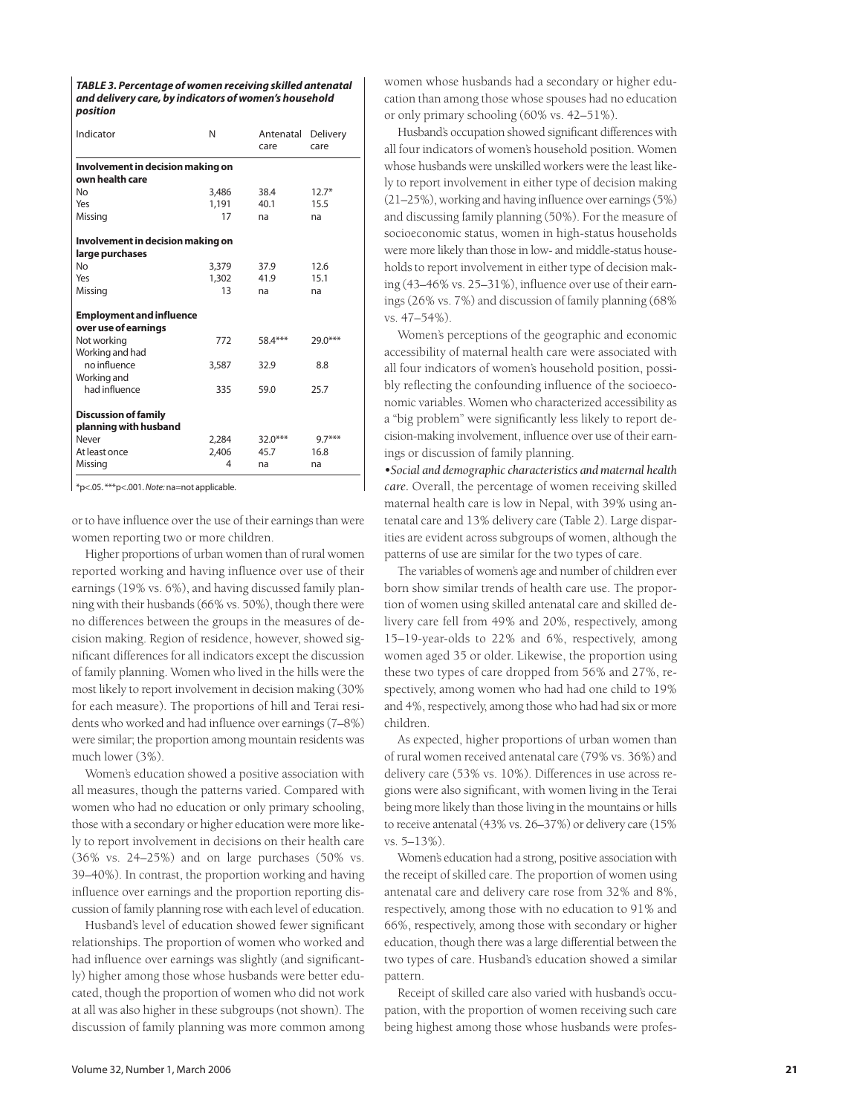**TABLE 3. Percentage of women receiving skilled antenatal and delivery care, by indicators of women's household position**

| Indicator                                            | N     | Antenatal<br>care | Delivery<br>care |  |  |  |  |
|------------------------------------------------------|-------|-------------------|------------------|--|--|--|--|
| Involvement in decision making on<br>own health care |       |                   |                  |  |  |  |  |
| <b>No</b>                                            | 3,486 | 38.4              | $12.7*$          |  |  |  |  |
| Yes                                                  | 1,191 | 40.1              | 15.5             |  |  |  |  |
| Missing                                              | 17    | na                | na               |  |  |  |  |
| Involvement in decision making on                    |       |                   |                  |  |  |  |  |
| large purchases                                      |       |                   |                  |  |  |  |  |
| No                                                   | 3,379 | 37.9              | 12.6             |  |  |  |  |
| Yes                                                  | 1,302 | 41.9              | 15.1             |  |  |  |  |
| Missing                                              | 13    | na                | na               |  |  |  |  |
| <b>Employment and influence</b>                      |       |                   |                  |  |  |  |  |
| over use of earnings                                 |       |                   |                  |  |  |  |  |
| Not working<br>Working and had                       | 772   | 58.4***           | 29.0***          |  |  |  |  |
| no influence                                         | 3,587 | 32.9              | 8.8              |  |  |  |  |
| Working and                                          |       |                   |                  |  |  |  |  |
| had influence                                        | 335   | 59.0              | 25.7             |  |  |  |  |
| <b>Discussion of family</b>                          |       |                   |                  |  |  |  |  |
| planning with husband                                |       |                   |                  |  |  |  |  |
| Never                                                | 2,284 | $32.0***$         | $9.7***$         |  |  |  |  |
| At least once                                        | 2,406 | 45.7              | 16.8             |  |  |  |  |
| Missing                                              | 4     | na                | na               |  |  |  |  |

\*p<.05. \*\*\*p<.001. Note: na=not applicable.

or to have influence over the use of their earnings than were women reporting two or more children.

Higher proportions of urban women than of rural women reported working and having influence over use of their earnings (19% vs. 6%), and having discussed family planning with their husbands (66% vs. 50%), though there were no differences between the groups in the measures of decision making. Region of residence, however, showed significant differences for all indicators except the discussion of family planning. Women who lived in the hills were the most likely to report involvement in decision making (30% for each measure). The proportions of hill and Terai residents who worked and had influence over earnings (7–8%) were similar; the proportion among mountain residents was much lower (3%).

Women's education showed a positive association with all measures, though the patterns varied. Compared with women who had no education or only primary schooling, those with a secondary or higher education were more likely to report involvement in decisions on their health care (36% vs. 24–25%) and on large purchases (50% vs. 39–40%). In contrast, the proportion working and having influence over earnings and the proportion reporting discussion of family planning rose with each level of education.

Husband's level of education showed fewer significant relationships. The proportion of women who worked and had influence over earnings was slightly (and significantly) higher among those whose husbands were better educated, though the proportion of women who did not work at all was also higher in these subgroups (not shown). The discussion of family planning was more common among

women whose husbands had a secondary or higher education than among those whose spouses had no education or only primary schooling (60% vs. 42–51%).

Husband's occupation showed significant differences with all four indicators of women's household position. Women whose husbands were unskilled workers were the least likely to report involvement in either type of decision making (21–25%), working and having influence over earnings (5%) and discussing family planning (50%). For the measure of socioeconomic status, women in high-status households were more likely than those in low- and middle-status households to report involvement in either type of decision making (43–46% vs. 25–31%), influence over use of their earnings (26% vs. 7%) and discussion of family planning (68% vs. 47–54%).

Women's perceptions of the geographic and economic accessibility of maternal health care were associated with all four indicators of women's household position, possibly reflecting the confounding influence of the socioeconomic variables. Women who characterized accessibility as a "big problem" were significantly less likely to report decision-making involvement, influence over use of their earnings or discussion of family planning.

*•Social and demographic characteristics and maternal health care.* Overall, the percentage of women receiving skilled maternal health care is low in Nepal, with 39% using antenatal care and 13% delivery care (Table 2). Large disparities are evident across subgroups of women, although the patterns of use are similar for the two types of care.

The variables of women's age and number of children ever born show similar trends of health care use. The proportion of women using skilled antenatal care and skilled delivery care fell from 49% and 20%, respectively, among 15–19-year-olds to 22% and 6%, respectively, among women aged 35 or older. Likewise, the proportion using these two types of care dropped from 56% and 27%, respectively, among women who had had one child to 19% and 4%, respectively, among those who had had six or more children.

As expected, higher proportions of urban women than of rural women received antenatal care (79% vs. 36%) and delivery care (53% vs. 10%). Differences in use across regions were also significant, with women living in the Terai being more likely than those living in the mountains or hills to receive antenatal (43% vs. 26–37%) or delivery care (15% vs. 5–13%).

Women's education had a strong, positive association with the receipt of skilled care. The proportion of women using antenatal care and delivery care rose from 32% and 8%, respectively, among those with no education to 91% and 66%, respectively, among those with secondary or higher education, though there was a large differential between the two types of care. Husband's education showed a similar pattern.

Receipt of skilled care also varied with husband's occupation, with the proportion of women receiving such care being highest among those whose husbands were profes-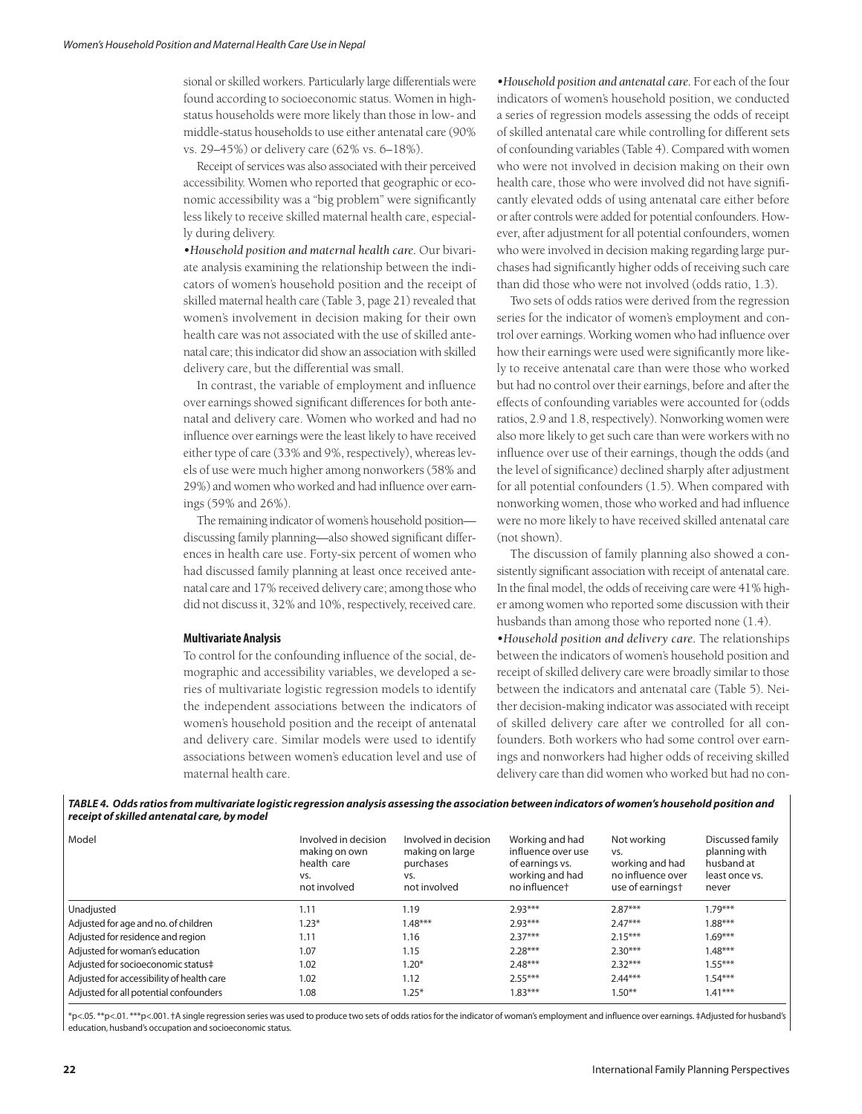sional or skilled workers. Particularly large differentials were found according to socioeconomic status. Women in highstatus households were more likely than those in low- and middle-status households to use either antenatal care (90% vs. 29–45%) or delivery care (62% vs. 6–18%).

Receipt of services was also associated with their perceived accessibility. Women who reported that geographic or economic accessibility was a "big problem" were significantly less likely to receive skilled maternal health care, especially during delivery.

*•Household position and maternal health care.* Our bivariate analysis examining the relationship between the indicators of women's household position and the receipt of skilled maternal health care (Table 3, page 21) revealed that women's involvement in decision making for their own health care was not associated with the use of skilled antenatal care; this indicator did show an association with skilled delivery care, but the differential was small.

In contrast, the variable of employment and influence over earnings showed significant differences for both antenatal and delivery care. Women who worked and had no influence over earnings were the least likely to have received either type of care (33% and 9%, respectively), whereas levels of use were much higher among nonworkers (58% and 29%) and women who worked and had influence over earnings (59% and 26%).

The remaining indicator of women's household position discussing family planning—also showed significant differences in health care use. Forty-six percent of women who had discussed family planning at least once received antenatal care and 17% received delivery care; among those who did not discuss it, 32% and 10%, respectively, received care.

### **Multivariate Analysis**

To control for the confounding influence of the social, demographic and accessibility variables, we developed a series of multivariate logistic regression models to identify the independent associations between the indicators of women's household position and the receipt of antenatal and delivery care. Similar models were used to identify associations between women's education level and use of maternal health care.

*•Household position and antenatal care.* For each of the four indicators of women's household position, we conducted a series of regression models assessing the odds of receipt of skilled antenatal care while controlling for different sets of confounding variables (Table 4). Compared with women who were not involved in decision making on their own health care, those who were involved did not have significantly elevated odds of using antenatal care either before or after controls were added for potential confounders. However, after adjustment for all potential confounders, women who were involved in decision making regarding large purchases had significantly higher odds of receiving such care than did those who were not involved (odds ratio, 1.3).

Two sets of odds ratios were derived from the regression series for the indicator of women's employment and control over earnings. Working women who had influence over how their earnings were used were significantly more likely to receive antenatal care than were those who worked but had no control over their earnings, before and after the effects of confounding variables were accounted for (odds ratios, 2.9 and 1.8, respectively). Nonworking women were also more likely to get such care than were workers with no influence over use of their earnings, though the odds (and the level of significance) declined sharply after adjustment for all potential confounders (1.5). When compared with nonworking women, those who worked and had influence were no more likely to have received skilled antenatal care (not shown).

The discussion of family planning also showed a consistently significant association with receipt of antenatal care. In the final model, the odds of receiving care were 41% higher among women who reported some discussion with their husbands than among those who reported none (1.4).

*•Household position and delivery care.* The relationships between the indicators of women's household position and receipt of skilled delivery care were broadly similar to those between the indicators and antenatal care (Table 5). Neither decision-making indicator was associated with receipt of skilled delivery care after we controlled for all confounders. Both workers who had some control over earnings and nonworkers had higher odds of receiving skilled delivery care than did women who worked but had no con-

**TABLE 4. Odds ratios from multivariate logistic regression analysis assessing the association between indicators of women's household position and receipt of skilled antenatal care, by model** 

| Model                                     | Involved in decision<br>making on own<br>health care<br>VS.<br>not involved | Involved in decision<br>making on large<br>purchases<br>VS.<br>not involved | Working and had<br>influence over use<br>of earnings vs.<br>working and had<br>no influencet | Not working<br>VS.<br>working and had<br>no influence over<br>use of earnings <sup>+</sup> | Discussed family<br>planning with<br>husband at<br>least once ys.<br>never |
|-------------------------------------------|-----------------------------------------------------------------------------|-----------------------------------------------------------------------------|----------------------------------------------------------------------------------------------|--------------------------------------------------------------------------------------------|----------------------------------------------------------------------------|
| Unadjusted                                | 1.11                                                                        | 1.19                                                                        | $2.93***$                                                                                    | $2.87***$                                                                                  | $1.79***$                                                                  |
| Adjusted for age and no. of children      | $1.23*$                                                                     | $1.48***$                                                                   | $2.93***$                                                                                    | $2.47***$                                                                                  | $1.88***$                                                                  |
| Adjusted for residence and region         | 1.11                                                                        | 1.16                                                                        | $2.37***$                                                                                    | $2.15***$                                                                                  | $1.69***$                                                                  |
| Adjusted for woman's education            | 1.07                                                                        | 1.15                                                                        | $2.28***$                                                                                    | $2.30***$                                                                                  | $1.48***$                                                                  |
| Adjusted for socioeconomic status#        | 1.02                                                                        | $1.20*$                                                                     | $2.48***$                                                                                    | $2.32***$                                                                                  | $1.55***$                                                                  |
| Adjusted for accessibility of health care | 1.02                                                                        | 1.12                                                                        | $2.55***$                                                                                    | $2.44***$                                                                                  | $1.54***$                                                                  |
| Adjusted for all potential confounders    | 1.08                                                                        | $1.25*$                                                                     | $1.83***$                                                                                    | $1.50***$                                                                                  | $1.41***$                                                                  |

\*p<.05. \*\*p<.01. \*\*\*p<.001. †A single regression series was used to produce two sets of odds ratios for the indicator of woman's employment and influence over earnings. ‡Adjusted for husband's education, husband's occupation and socioeconomic status.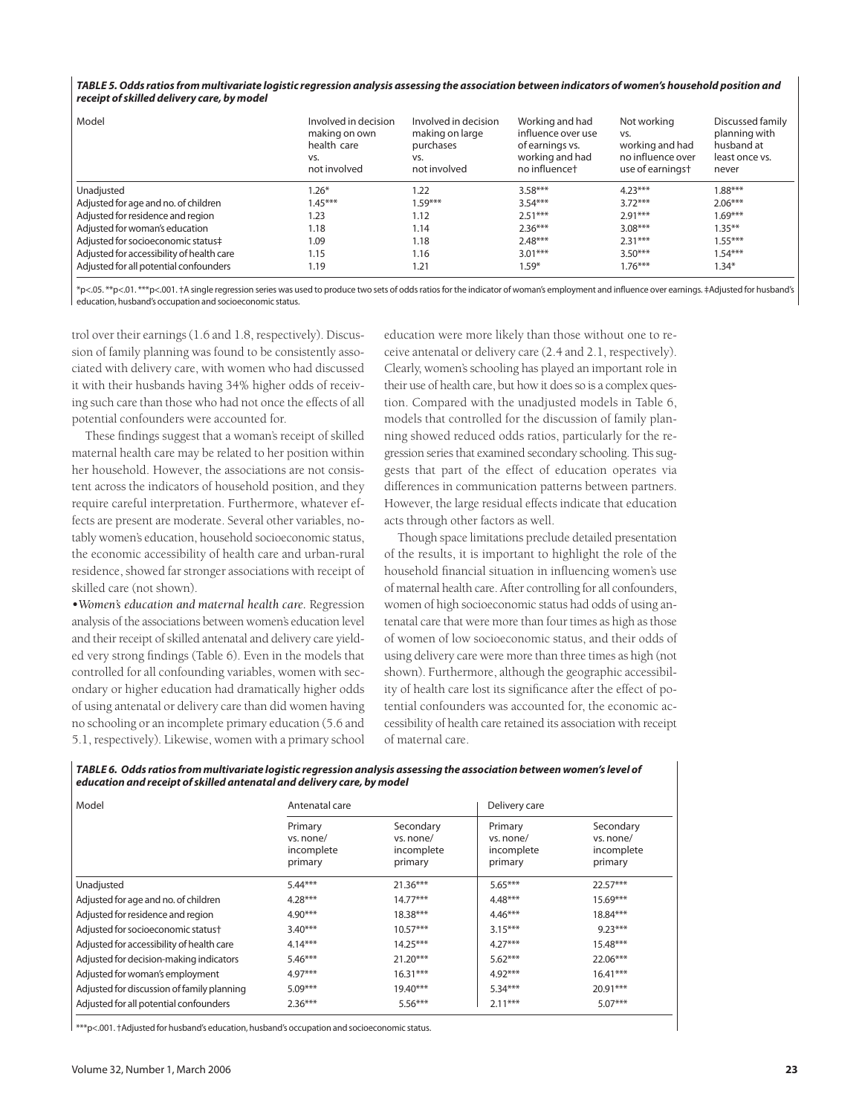### **TABLE 5. Odds ratios from multivariate logistic regression analysis assessing the association between indicators of women's household position and receipt of skilled delivery care, by model**

| Model                                     | Involved in decision<br>making on own<br>health care<br>VS.<br>not involved | Involved in decision<br>making on large<br>purchases<br>VS.<br>not involved | Working and had<br>influence over use<br>of earnings vs.<br>working and had<br>no influencet | Not working<br>VS.<br>working and had<br>no influence over<br>use of earningst | Discussed family<br>planning with<br>husband at<br>least once ys.<br>never |
|-------------------------------------------|-----------------------------------------------------------------------------|-----------------------------------------------------------------------------|----------------------------------------------------------------------------------------------|--------------------------------------------------------------------------------|----------------------------------------------------------------------------|
| Unadjusted                                | $1.26*$                                                                     | 1.22                                                                        | $3.58***$                                                                                    | $4.23***$                                                                      | $1.88***$                                                                  |
| Adjusted for age and no. of children      | $1.45***$                                                                   | $.59***$                                                                    | $3.54***$                                                                                    | $3.72***$                                                                      | $2.06***$                                                                  |
| Adjusted for residence and region         | 1.23                                                                        | 1.12                                                                        | $2.51***$                                                                                    | $2.91***$                                                                      | $1.69***$                                                                  |
| Adjusted for woman's education            | 1.18                                                                        | 1.14                                                                        | $2.36***$                                                                                    | $3.08***$                                                                      | $1.35***$                                                                  |
| Adjusted for socioeconomic status#        | 1.09                                                                        | 1.18                                                                        | $2.48***$                                                                                    | $2.31***$                                                                      | $1.55***$                                                                  |
| Adjusted for accessibility of health care | 1.15                                                                        | 1.16                                                                        | $3.01***$                                                                                    | $3.50***$                                                                      | $1.54***$                                                                  |
| Adjusted for all potential confounders    | 1.19                                                                        | 1.21                                                                        | $.59*$                                                                                       | $1.76***$                                                                      | $1.34*$                                                                    |

\*p<.05. \*\*p<.01. \*\*\*p<.001. †A single regression series was used to produce two sets of odds ratios for the indicator of woman's employment and influence over earnings. ‡Adjusted for husband's education, husband's occupation and socioeconomic status.

trol over their earnings (1.6 and 1.8, respectively). Discussion of family planning was found to be consistently associated with delivery care, with women who had discussed it with their husbands having 34% higher odds of receiving such care than those who had not once the effects of all potential confounders were accounted for.

These findings suggest that a woman's receipt of skilled maternal health care may be related to her position within her household. However, the associations are not consistent across the indicators of household position, and they require careful interpretation. Furthermore, whatever effects are present are moderate. Several other variables, notably women's education, household socioeconomic status, the economic accessibility of health care and urban-rural residence, showed far stronger associations with receipt of skilled care (not shown).

*•Women's education and maternal health care.* Regression analysis of the associations between women's education level and their receipt of skilled antenatal and delivery care yielded very strong findings (Table 6). Even in the models that controlled for all confounding variables, women with secondary or higher education had dramatically higher odds of using antenatal or delivery care than did women having no schooling or an incomplete primary education (5.6 and 5.1, respectively). Likewise, women with a primary school

education were more likely than those without one to receive antenatal or delivery care (2.4 and 2.1, respectively). Clearly, women's schooling has played an important role in their use of health care, but how it does so is a complex question. Compared with the unadjusted models in Table 6, models that controlled for the discussion of family planning showed reduced odds ratios, particularly for the regression series that examined secondary schooling. This suggests that part of the effect of education operates via differences in communication patterns between partners. However, the large residual effects indicate that education acts through other factors as well.

Though space limitations preclude detailed presentation of the results, it is important to highlight the role of the household financial situation in influencing women's use of maternal health care. After controlling for all confounders, women of high socioeconomic status had odds of using antenatal care that were more than four times as high as those of women of low socioeconomic status, and their odds of using delivery care were more than three times as high (not shown). Furthermore, although the geographic accessibility of health care lost its significance after the effect of potential confounders was accounted for, the economic accessibility of health care retained its association with receipt of maternal care.

**TABLE 6. Odds ratios from multivariate logistic regression analysis assessing the association between women's level of education and receipt of skilled antenatal and delivery care, by model**

| Model                                      | Antenatal care                                |                                                 | Delivery care                                 |                                                 |  |
|--------------------------------------------|-----------------------------------------------|-------------------------------------------------|-----------------------------------------------|-------------------------------------------------|--|
|                                            | Primary<br>vs. none/<br>incomplete<br>primary | Secondary<br>vs. none/<br>incomplete<br>primary | Primary<br>vs. none/<br>incomplete<br>primary | Secondary<br>vs. none/<br>incomplete<br>primary |  |
| Unadjusted                                 | $5.44***$                                     | $21.36***$                                      | $5.65***$                                     | $22.57***$                                      |  |
| Adjusted for age and no. of children       | $4.28***$                                     | $14.77***$                                      | $4.48***$                                     | $15.69***$                                      |  |
| Adjusted for residence and region          | $4.90***$                                     | $18.38***$                                      | $4.46***$                                     | $18.84***$                                      |  |
| Adjusted for socioeconomic status†         | $3.40***$                                     | $10.57***$                                      | $3.15***$                                     | $9.23***$                                       |  |
| Adjusted for accessibility of health care  | $4.14***$                                     | $14.25***$                                      | $4.27***$                                     | $15.48***$                                      |  |
| Adjusted for decision-making indicators    | $5.46***$                                     | $21.20***$                                      | $5.62***$                                     | $22.06***$                                      |  |
| Adjusted for woman's employment            | $4.97***$                                     | $16.31***$                                      | $4.92***$                                     | $16.41***$                                      |  |
| Adjusted for discussion of family planning | $5.09***$                                     | $19.40***$                                      | $5.34***$                                     | $20.91***$                                      |  |
| Adjusted for all potential confounders     | $2.36***$                                     | $5.56***$                                       | $2.11***$                                     | $5.07***$                                       |  |

 $\vert$  \*\*\*p<.001. †Adjusted for husband's education, husband's occupation and socioeconomic status.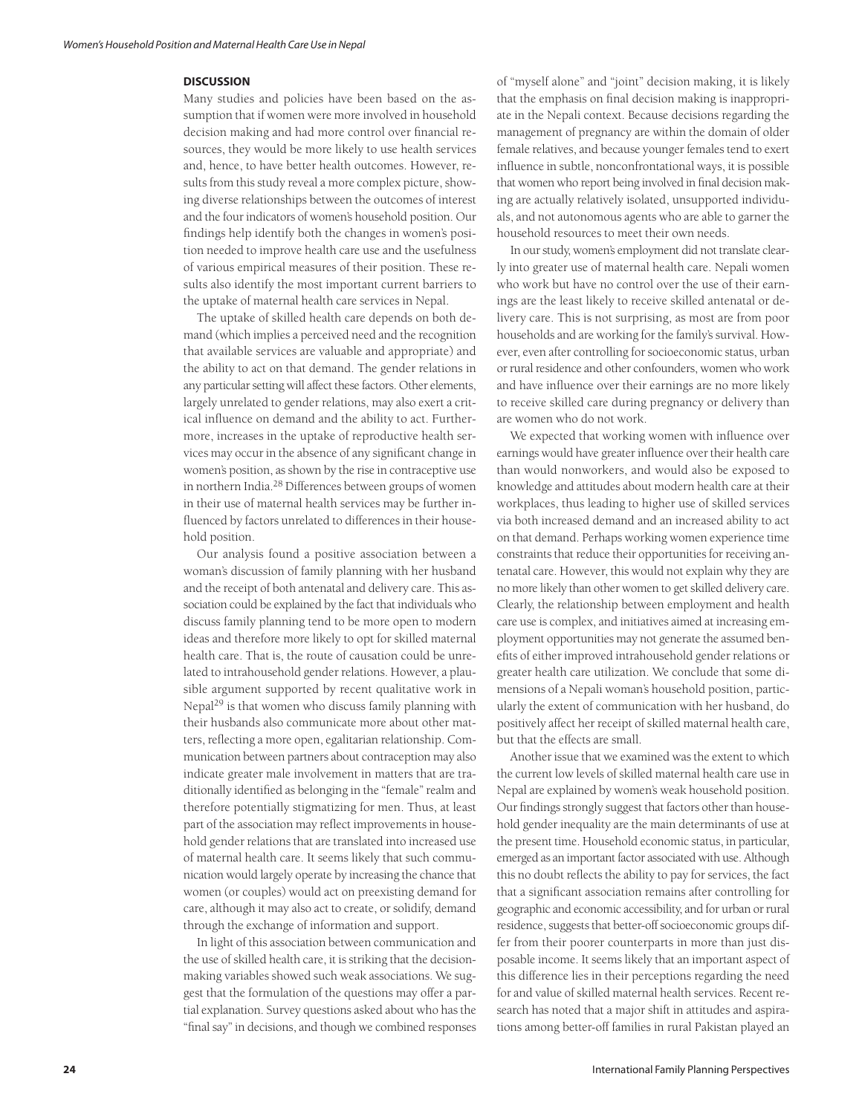### **DISCUSSION**

Many studies and policies have been based on the assumption that if women were more involved in household decision making and had more control over financial resources, they would be more likely to use health services and, hence, to have better health outcomes. However, results from this study reveal a more complex picture, showing diverse relationships between the outcomes of interest and the four indicators of women's household position. Our findings help identify both the changes in women's position needed to improve health care use and the usefulness of various empirical measures of their position. These results also identify the most important current barriers to the uptake of maternal health care services in Nepal.

The uptake of skilled health care depends on both demand (which implies a perceived need and the recognition that available services are valuable and appropriate) and the ability to act on that demand. The gender relations in any particular setting will affect these factors. Other elements, largely unrelated to gender relations, may also exert a critical influence on demand and the ability to act. Furthermore, increases in the uptake of reproductive health services may occur in the absence of any significant change in women's position, as shown by the rise in contraceptive use in northern India.28 Differences between groups of women in their use of maternal health services may be further influenced by factors unrelated to differences in their household position.

Our analysis found a positive association between a woman's discussion of family planning with her husband and the receipt of both antenatal and delivery care. This association could be explained by the fact that individuals who discuss family planning tend to be more open to modern ideas and therefore more likely to opt for skilled maternal health care. That is, the route of causation could be unrelated to intrahousehold gender relations. However, a plausible argument supported by recent qualitative work in Nepal<sup>29</sup> is that women who discuss family planning with their husbands also communicate more about other matters, reflecting a more open, egalitarian relationship. Communication between partners about contraception may also indicate greater male involvement in matters that are traditionally identified as belonging in the "female" realm and therefore potentially stigmatizing for men. Thus, at least part of the association may reflect improvements in household gender relations that are translated into increased use of maternal health care. It seems likely that such communication would largely operate by increasing the chance that women (or couples) would act on preexisting demand for care, although it may also act to create, or solidify, demand through the exchange of information and support.

In light of this association between communication and the use of skilled health care, it is striking that the decisionmaking variables showed such weak associations. We suggest that the formulation of the questions may offer a partial explanation. Survey questions asked about who has the "final say" in decisions, and though we combined responses of "myself alone" and "joint" decision making, it is likely that the emphasis on final decision making is inappropriate in the Nepali context. Because decisions regarding the management of pregnancy are within the domain of older female relatives, and because younger females tend to exert influence in subtle, nonconfrontational ways, it is possible that women who report being involved in final decision making are actually relatively isolated, unsupported individuals, and not autonomous agents who are able to garner the household resources to meet their own needs.

In our study, women's employment did not translate clearly into greater use of maternal health care. Nepali women who work but have no control over the use of their earnings are the least likely to receive skilled antenatal or delivery care. This is not surprising, as most are from poor households and are working for the family's survival. However, even after controlling for socioeconomic status, urban or rural residence and other confounders, women who work and have influence over their earnings are no more likely to receive skilled care during pregnancy or delivery than are women who do not work.

We expected that working women with influence over earnings would have greater influence over their health care than would nonworkers, and would also be exposed to knowledge and attitudes about modern health care at their workplaces, thus leading to higher use of skilled services via both increased demand and an increased ability to act on that demand. Perhaps working women experience time constraints that reduce their opportunities for receiving antenatal care. However, this would not explain why they are no more likely than other women to get skilled delivery care. Clearly, the relationship between employment and health care use is complex, and initiatives aimed at increasing employment opportunities may not generate the assumed benefits of either improved intrahousehold gender relations or greater health care utilization. We conclude that some dimensions of a Nepali woman's household position, particularly the extent of communication with her husband, do positively affect her receipt of skilled maternal health care, but that the effects are small.

Another issue that we examined was the extent to which the current low levels of skilled maternal health care use in Nepal are explained by women's weak household position. Our findings strongly suggest that factors other than household gender inequality are the main determinants of use at the present time. Household economic status, in particular, emerged as an important factor associated with use. Although this no doubt reflects the ability to pay for services, the fact that a significant association remains after controlling for geographic and economic accessibility, and for urban or rural residence, suggests that better-off socioeconomic groups differ from their poorer counterparts in more than just disposable income. It seems likely that an important aspect of this difference lies in their perceptions regarding the need for and value of skilled maternal health services. Recent research has noted that a major shift in attitudes and aspirations among better-off families in rural Pakistan played an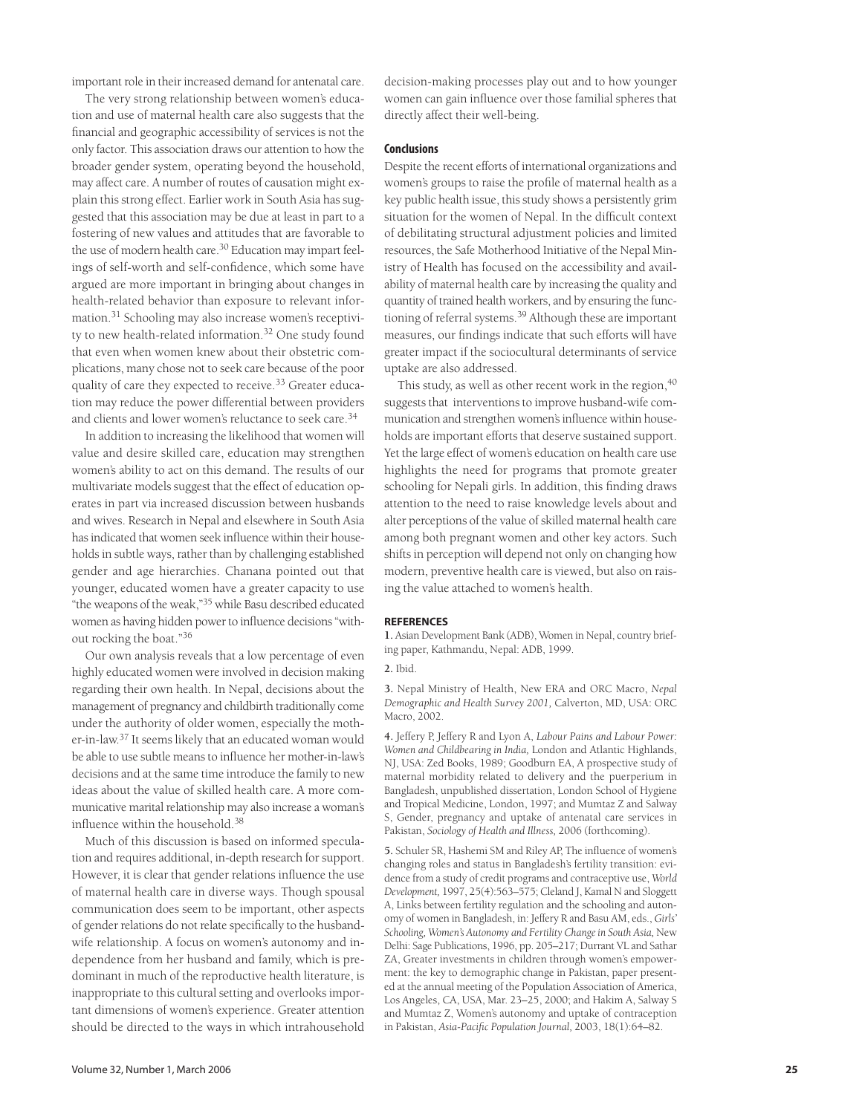important role in their increased demand for antenatal care.

The very strong relationship between women's education and use of maternal health care also suggests that the financial and geographic accessibility of services is not the only factor. This association draws our attention to how the broader gender system, operating beyond the household, may affect care. A number of routes of causation might explain this strong effect. Earlier work in South Asia has suggested that this association may be due at least in part to a fostering of new values and attitudes that are favorable to the use of modern health care.<sup>30</sup> Education may impart feelings of self-worth and self-confidence, which some have argued are more important in bringing about changes in health-related behavior than exposure to relevant information.<sup>31</sup> Schooling may also increase women's receptivity to new health-related information.<sup>32</sup> One study found that even when women knew about their obstetric complications, many chose not to seek care because of the poor quality of care they expected to receive.<sup>33</sup> Greater education may reduce the power differential between providers and clients and lower women's reluctance to seek care.<sup>34</sup>

In addition to increasing the likelihood that women will value and desire skilled care, education may strengthen women's ability to act on this demand. The results of our multivariate models suggest that the effect of education operates in part via increased discussion between husbands and wives. Research in Nepal and elsewhere in South Asia has indicated that women seek influence within their households in subtle ways, rather than by challenging established gender and age hierarchies. Chanana pointed out that younger, educated women have a greater capacity to use "the weapons of the weak,"35 while Basu described educated women as having hidden power to influence decisions "without rocking the boat."<sup>36</sup>

Our own analysis reveals that a low percentage of even highly educated women were involved in decision making regarding their own health. In Nepal, decisions about the management of pregnancy and childbirth traditionally come under the authority of older women, especially the mother-in-law.37 It seems likely that an educated woman would be able to use subtle means to influence her mother-in-law's decisions and at the same time introduce the family to new ideas about the value of skilled health care. A more communicative marital relationship may also increase a woman's influence within the household.<sup>38</sup>

Much of this discussion is based on informed speculation and requires additional, in-depth research for support. However, it is clear that gender relations influence the use of maternal health care in diverse ways. Though spousal communication does seem to be important, other aspects of gender relations do not relate specifically to the husbandwife relationship. A focus on women's autonomy and independence from her husband and family, which is predominant in much of the reproductive health literature, is inappropriate to this cultural setting and overlooks important dimensions of women's experience. Greater attention should be directed to the ways in which intrahousehold decision-making processes play out and to how younger women can gain influence over those familial spheres that directly affect their well-being.

## **Conclusions**

Despite the recent efforts of international organizations and women's groups to raise the profile of maternal health as a key public health issue, this study shows a persistently grim situation for the women of Nepal. In the difficult context of debilitating structural adjustment policies and limited resources, the Safe Motherhood Initiative of the Nepal Ministry of Health has focused on the accessibility and availability of maternal health care by increasing the quality and quantity of trained health workers, and by ensuring the functioning of referral systems.39 Although these are important measures, our findings indicate that such efforts will have greater impact if the sociocultural determinants of service uptake are also addressed.

This study, as well as other recent work in the region,  $40$ suggests that interventions to improve husband-wife communication and strengthen women's influence within households are important efforts that deserve sustained support. Yet the large effect of women's education on health care use highlights the need for programs that promote greater schooling for Nepali girls. In addition, this finding draws attention to the need to raise knowledge levels about and alter perceptions of the value of skilled maternal health care among both pregnant women and other key actors. Such shifts in perception will depend not only on changing how modern, preventive health care is viewed, but also on raising the value attached to women's health.

### **REFERENCES**

**1.** Asian Development Bank (ADB), Women in Nepal, country briefing paper, Kathmandu, Nepal: ADB, 1999.

### **2.** Ibid.

**3.** Nepal Ministry of Health, New ERA and ORC Macro, *Nepal Demographic and Health Survey 2001,* Calverton, MD, USA: ORC Macro, 2002.

**4.** Jeffery P, Jeffery R and Lyon A, *Labour Pains and Labour Power: Women and Childbearing in India,* London and Atlantic Highlands, NJ, USA: Zed Books, 1989; Goodburn EA, A prospective study of maternal morbidity related to delivery and the puerperium in Bangladesh, unpublished dissertation, London School of Hygiene and Tropical Medicine, London, 1997; and Mumtaz Z and Salway S, Gender, pregnancy and uptake of antenatal care services in Pakistan, *Sociology of Health and Illness,* 2006 (forthcoming).

**5.** Schuler SR, Hashemi SM and Riley AP, The influence of women's changing roles and status in Bangladesh's fertility transition: evidence from a study of credit programs and contraceptive use, *World Development,* 1997, 25(4):563–575; Cleland J, Kamal N and Sloggett A, Links between fertility regulation and the schooling and autonomy of women in Bangladesh, in: Jeffery R and Basu AM, eds., *Girls' Schooling, Women's Autonomy and Fertility Change in South Asia,* New Delhi: Sage Publications, 1996, pp. 205–217; Durrant VL and Sathar ZA, Greater investments in children through women's empowerment: the key to demographic change in Pakistan, paper presented at the annual meeting of the Population Association of America, Los Angeles, CA, USA, Mar. 23–25, 2000; and Hakim A, Salway S and Mumtaz Z, Women's autonomy and uptake of contraception in Pakistan, *Asia-Pacific Population Journal,* 2003, 18(1):64–82.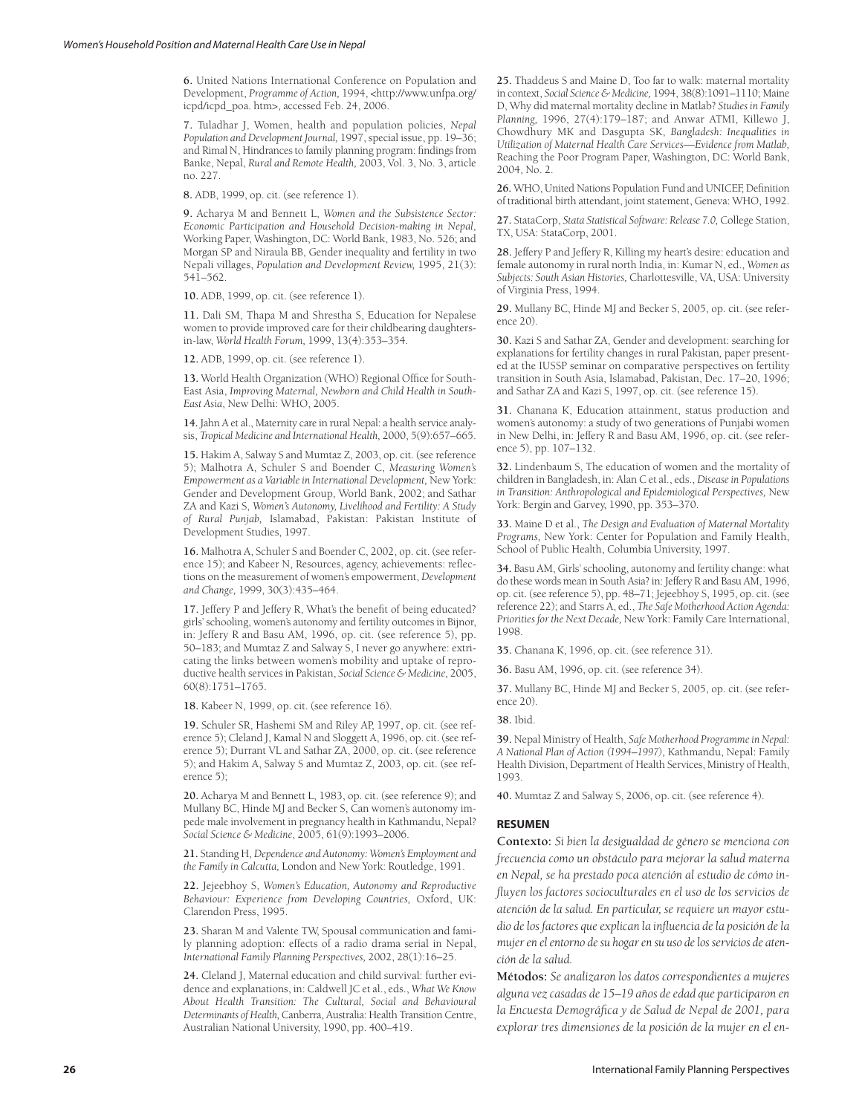**6.** United Nations International Conference on Population and Development, *Programme of Action,* 1994, <http://www.unfpa.org/ icpd/icpd\_poa. htm>, accessed Feb. 24, 2006.

**7.** Tuladhar J, Women, health and population policies, *Nepal Population and Development Journal,* 1997, special issue, pp. 19–36; and Rimal N, Hindrances to family planning program: findings from Banke, Nepal, *Rural and Remote Health,* 2003, Vol. 3, No. 3, article no. 227.

**8.** ADB, 1999, op. cit. (see reference 1).

**9.** Acharya M and Bennett L, *Women and the Subsistence Sector: Economic Participation and Household Decision-making in Nepal,* Working Paper, Washington, DC: World Bank, 1983, No. 526; and Morgan SP and Niraula BB, Gender inequality and fertility in two Nepali villages, *Population and Development Review,* 1995, 21(3): 541–562.

**10.** ADB, 1999, op. cit. (see reference 1).

**11.** Dali SM, Thapa M and Shrestha S, Education for Nepalese women to provide improved care for their childbearing daughtersin-law, *World Health Forum,* 1999, 13(4):353–354.

**12.** ADB, 1999, op. cit. (see reference 1).

**13.** World Health Organization (WHO) Regional Office for South-East Asia, *Improving Maternal, Newborn and Child Health in South-East Asia*, New Delhi: WHO, 2005.

**14.** Jahn A et al., Maternity care in rural Nepal: a health service analysis, *Tropical Medicine and International Health,* 2000, 5(9):657–665.

**15.** Hakim A, Salway S and Mumtaz Z, 2003, op. cit. (see reference 5); Malhotra A, Schuler S and Boender C, *Measuring Women's Empowerment as a Variable in International Development,* New York: Gender and Development Group, World Bank, 2002; and Sathar ZA and Kazi S, *Women's Autonomy, Livelihood and Fertility: A Study of Rural Punjab,* Islamabad, Pakistan: Pakistan Institute of Development Studies, 1997.

**16.** Malhotra A, Schuler S and Boender C, 2002, op. cit. (see reference 15); and Kabeer N, Resources, agency, achievements: reflections on the measurement of women's empowerment, *Development and Change,* 1999, 30(3):435–464.

**17.** Jeffery P and Jeffery R, What's the benefit of being educated? girls' schooling, women's autonomy and fertility outcomes in Bijnor, in: Jeffery R and Basu AM, 1996, op. cit. (see reference 5), pp. 50–183; and Mumtaz Z and Salway S, I never go anywhere: extricating the links between women's mobility and uptake of reproductive health services in Pakistan, *Social Science & Medicine,* 2005, 60(8):1751–1765.

**18.** Kabeer N, 1999, op. cit. (see reference 16).

**19.** Schuler SR, Hashemi SM and Riley AP, 1997, op. cit. (see reference 5); Cleland J, Kamal N and Sloggett A, 1996, op. cit. (see reference 5); Durrant VL and Sathar ZA, 2000, op. cit. (see reference 5); and Hakim A, Salway S and Mumtaz Z, 2003, op. cit. (see reference 5);

**20.** Acharya M and Bennett L, 1983, op. cit. (see reference 9); and Mullany BC, Hinde MJ and Becker S, Can women's autonomy impede male involvement in pregnancy health in Kathmandu, Nepal? *Social Science & Medicine*, 2005, 61(9):1993–2006.

**21.** Standing H, *Dependence and Autonomy: Women's Employment and the Family in Calcutta,* London and New York: Routledge, 1991.

**22.** Jejeebhoy S, *Women's Education, Autonomy and Reproductive Behaviour: Experience from Developing Countries,* Oxford, UK: Clarendon Press, 1995.

**23.** Sharan M and Valente TW, Spousal communication and family planning adoption: effects of a radio drama serial in Nepal, *International Family Planning Perspectives,* 2002, 28(1):16–25.

**24.** Cleland J, Maternal education and child survival: further evidence and explanations, in: Caldwell JC et al., eds., *What We Know About Health Transition: The Cultural, Social and Behavioural Determinants of Health,* Canberra, Australia: Health Transition Centre, Australian National University, 1990, pp. 400–419.

**25.** Thaddeus S and Maine D, Too far to walk: maternal mortality in context, *Social Science & Medicine,* 1994, 38(8):1091–1110; Maine D, Why did maternal mortality decline in Matlab? *Studies in Family Planning,* 1996, 27(4):179–187; and Anwar ATMI, Killewo J, Chowdhury MK and Dasgupta SK, *Bangladesh: Inequalities in Utilization of Maternal Health Care Services—Evidence from Matlab,* Reaching the Poor Program Paper, Washington, DC: World Bank, 2004, No. 2.

**26.** WHO, United Nations Population Fund and UNICEF, Definition of traditional birth attendant, joint statement, Geneva: WHO, 1992.

**27.** StataCorp, *Stata Statistical Software: Release 7.0,* College Station, TX, USA: StataCorp, 2001.

**28.** Jeffery P and Jeffery R, Killing my heart's desire: education and female autonomy in rural north India, in: Kumar N, ed., *Women as Subjects: South Asian Histories,* Charlottesville, VA, USA: University of Virginia Press, 1994.

**29.** Mullany BC, Hinde MJ and Becker S, 2005, op. cit. (see reference 20).

**30.** Kazi S and Sathar ZA, Gender and development: searching for explanations for fertility changes in rural Pakistan*,* paper presented at the IUSSP seminar on comparative perspectives on fertility transition in South Asia, Islamabad, Pakistan, Dec. 17–20, 1996; and Sathar ZA and Kazi S, 1997, op. cit. (see reference 15).

**31.** Chanana K, Education attainment, status production and women's autonomy: a study of two generations of Punjabi women in New Delhi, in: Jeffery R and Basu AM, 1996, op. cit. (see reference 5), pp. 107–132.

**32.** Lindenbaum S, The education of women and the mortality of children in Bangladesh, in: Alan C et al., eds., *Disease in Populations in Transition: Anthropological and Epidemiological Perspectives,* New York: Bergin and Garvey, 1990, pp. 353–370.

**33.** Maine D et al., *The Design and Evaluation of Maternal Mortality Programs,* New York: Center for Population and Family Health, School of Public Health, Columbia University, 1997.

**34.** Basu AM, Girls' schooling, autonomy and fertility change: what do these words mean in South Asia? in: Jeffery R and Basu AM, 1996, op. cit. (see reference 5), pp. 48–71; Jejeebhoy S, 1995, op. cit. (see reference 22); and Starrs A, ed., *The Safe Motherhood Action Agenda: Priorities for the Next Decade,* New York: Family Care International, 1998.

**35.** Chanana K, 1996, op. cit. (see reference 31).

**36.** Basu AM, 1996, op. cit. (see reference 34).

**37.** Mullany BC, Hinde MJ and Becker S, 2005, op. cit. (see reference 20).

**38.** Ibid.

**39.** Nepal Ministry of Health, *Safe Motherhood Programme in Nepal: A National Plan of Action (1994–1997),* Kathmandu, Nepal: Family Health Division, Department of Health Services, Ministry of Health, 1993.

**40.** Mumtaz Z and Salway S, 2006, op. cit. (see reference 4).

### **RESUMEN**

**Contexto:** *Si bien la desigualdad de género se menciona con frecuencia como un obstáculo para mejorar la salud materna en Nepal, se ha prestado poca atención al estudio de cómo influyen los factores socioculturales en el uso de los servicios de atención de la salud. En particular, se requiere un mayor estudio de los factores que explican la influencia de la posición de la mujer en el entorno de su hogar en su uso de los servicios de atención de la salud.* 

**Métodos:** *Se analizaron los datos correspondientes a mujeres alguna vez casadas de 15–19 años de edad que participaron en la Encuesta Demográfica y de Salud de Nepal de 2001, para explorar tres dimensiones de la posición de la mujer en el en-*